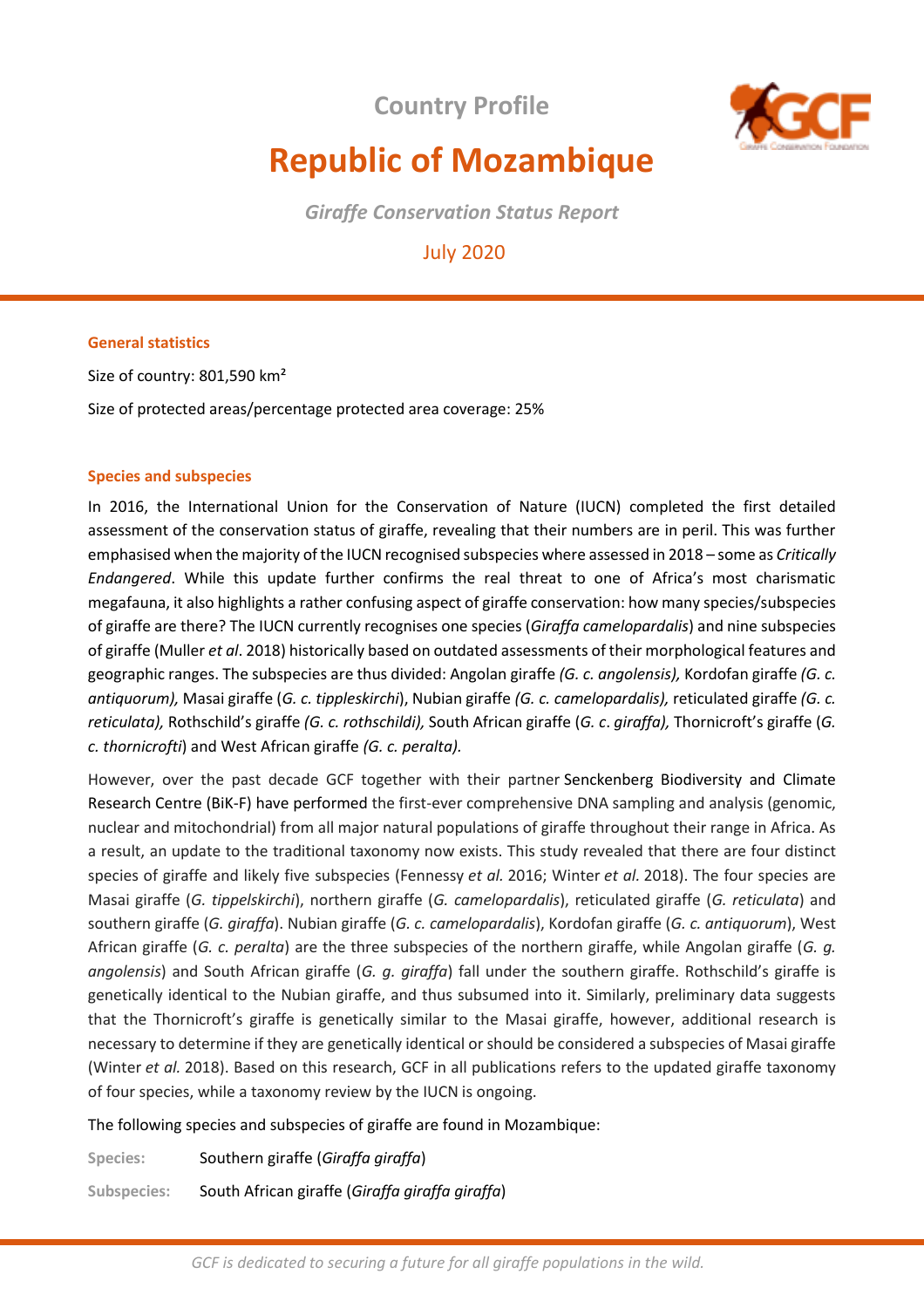**Country Profile** 



# **Republic of Mozambique**

*Giraffe Conservation Status Report* 

July 2020

# **General statistics**

Size of country: 801,590 km² Size of protected areas/percentage protected area coverage: 25%

## **Species and subspecies**

In 2016, the International Union for the Conservation of Nature (IUCN) completed the first detailed assessment of the conservation status of giraffe, revealing that their numbers are in peril. This was further emphasised when the majority of the IUCN recognised subspecies where assessed in 2018 – some as *Critically Endangered*. While this update further confirms the real threat to one of Africa's most charismatic megafauna, it also highlights a rather confusing aspect of giraffe conservation: how many species/subspecies of giraffe are there? The IUCN currently recognises one species (*Giraffa camelopardalis*) and nine subspecies of giraffe (Muller *et al*. 2018) historically based on outdated assessments of their morphological features and geographic ranges. The subspecies are thus divided: Angolan giraffe *(G. c. angolensis),* Kordofan giraffe *(G. c. antiquorum),* Masai giraffe (*G. c. tippleskirchi*), Nubian giraffe *(G. c. camelopardalis),* reticulated giraffe *(G. c. reticulata),* Rothschild's giraffe *(G. c. rothschildi),* South African giraffe (*G. c*. *giraffa),* Thornicroft's giraffe (*G. c. thornicrofti*) and West African giraffe *(G. c. peralta).* 

However, over the past decade GCF together with their partner Senckenberg Biodiversity and Climate Research Centre (BiK-F) have performed the first-ever comprehensive DNA sampling and analysis (genomic, nuclear and mitochondrial) from all major natural populations of giraffe throughout their range in Africa. As a result, an update to the traditional taxonomy now exists. This study revealed that there are four distinct species of giraffe and likely five subspecies (Fennessy *et al.* 2016; Winter *et al.* 2018). The four species are Masai giraffe (*G. tippelskirchi*), northern giraffe (*G. camelopardalis*), reticulated giraffe (*G. reticulata*) and southern giraffe (*G. giraffa*). Nubian giraffe (*G. c. camelopardalis*), Kordofan giraffe (*G. c. antiquorum*), West African giraffe (*G. c. peralta*) are the three subspecies of the northern giraffe, while Angolan giraffe (*G. g. angolensis*) and South African giraffe (*G. g. giraffa*) fall under the southern giraffe. Rothschild's giraffe is genetically identical to the Nubian giraffe, and thus subsumed into it. Similarly, preliminary data suggests that the Thornicroft's giraffe is genetically similar to the Masai giraffe, however, additional research is necessary to determine if they are genetically identical or should be considered a subspecies of Masai giraffe (Winter *et al.* 2018). Based on this research, GCF in all publications refers to the updated giraffe taxonomy of four species, while a taxonomy review by the IUCN is ongoing.

The following species and subspecies of giraffe are found in Mozambique:

**Species:** Southern giraffe (*Giraffa giraffa*)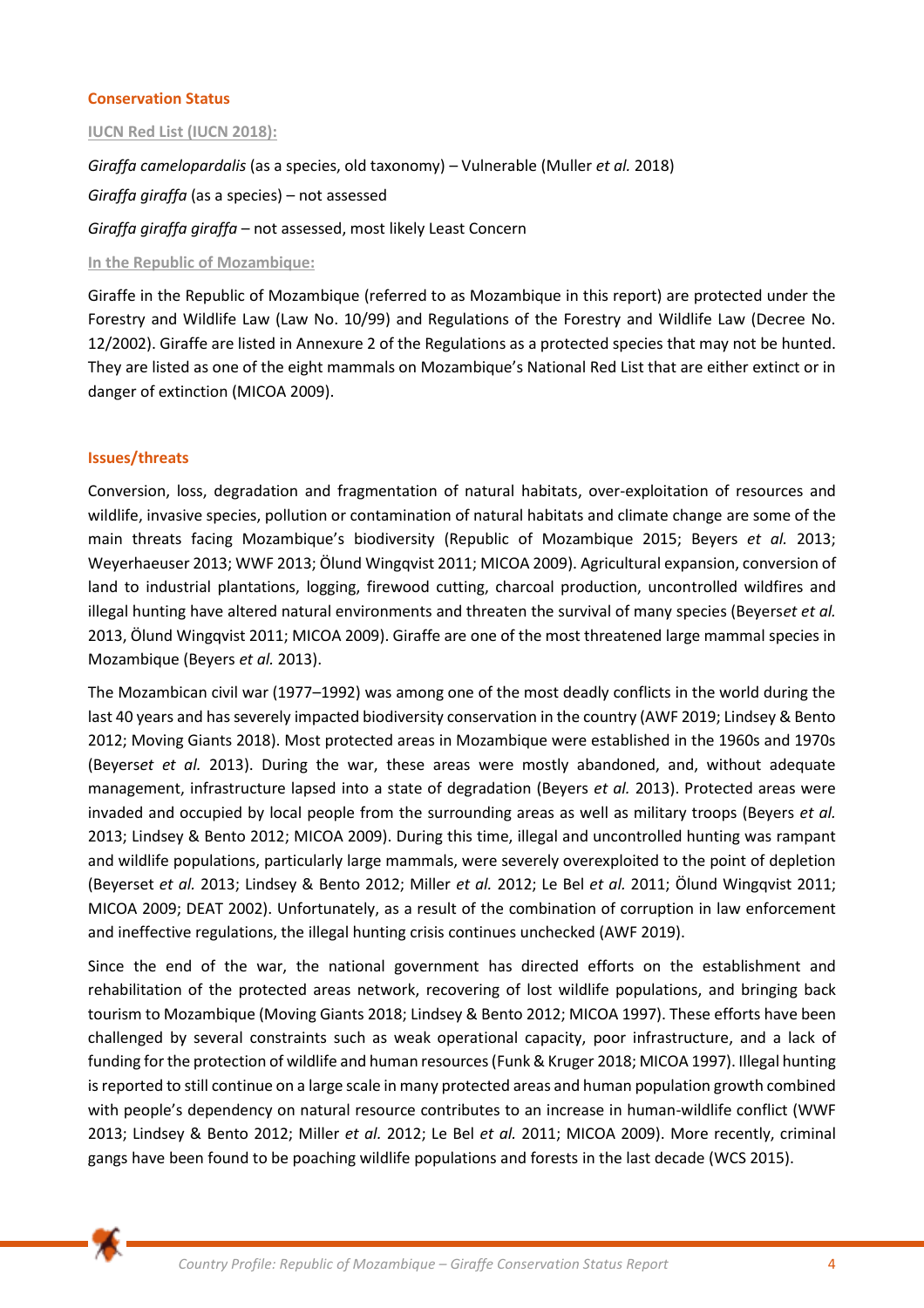## **Conservation Status**

## **IUCN Red List (IUCN 2018):**

*Giraffa camelopardalis* (as a species, old taxonomy) *–* Vulnerable (Muller *et al.* 2018) *Giraffa giraffa* (as a species) – not assessed *Giraffa giraffa giraffa* – not assessed, most likely Least Concern

## **In the Republic of Mozambique:**

Giraffe in the Republic of Mozambique (referred to as Mozambique in this report) are protected under the Forestry and Wildlife Law (Law No. 10/99) and Regulations of the Forestry and Wildlife Law (Decree No. 12/2002). Giraffe are listed in Annexure 2 of the Regulations as a protected species that may not be hunted. They are listed as one of the eight mammals on Mozambique's National Red List that are either extinct or in danger of extinction (MICOA 2009).

## **Issues/threats**

Conversion, loss, degradation and fragmentation of natural habitats, over-exploitation of resources and wildlife, invasive species, pollution or contamination of natural habitats and climate change are some of the main threats facing Mozambique's biodiversity (Republic of Mozambique 2015; Beyers *et al.* 2013; Weyerhaeuser 2013; WWF 2013; Ölund Wingqvist 2011; MICOA 2009). Agricultural expansion, conversion of land to industrial plantations, logging, firewood cutting, charcoal production, uncontrolled wildfires and illegal hunting have altered natural environments and threaten the survival of many species (Beyers*et et al.* 2013, Ölund Wingqvist 2011; MICOA 2009). Giraffe are one of the most threatened large mammal species in Mozambique (Beyers *et al.* 2013).

The Mozambican civil war (1977–1992) was among one of the most deadly conflicts in the world during the last 40 years and has severely impacted biodiversity conservation in the country (AWF 2019; Lindsey & Bento 2012; Moving Giants 2018). Most protected areas in Mozambique were established in the 1960s and 1970s (Beyers*et et al.* 2013). During the war, these areas were mostly abandoned, and, without adequate management, infrastructure lapsed into a state of degradation (Beyers *et al.* 2013). Protected areas were invaded and occupied by local people from the surrounding areas as well as military troops (Beyers *et al.* 2013; Lindsey & Bento 2012; MICOA 2009). During this time, illegal and uncontrolled hunting was rampant and wildlife populations, particularly large mammals, were severely overexploited to the point of depletion (Beyerset *et al.* 2013; Lindsey & Bento 2012; Miller *et al.* 2012; Le Bel *et al.* 2011; Ölund Wingqvist 2011; MICOA 2009; DEAT 2002). Unfortunately, as a result of the combination of corruption in law enforcement and ineffective regulations, the illegal hunting crisis continues unchecked (AWF 2019).

Since the end of the war, the national government has directed efforts on the establishment and rehabilitation of the protected areas network, recovering of lost wildlife populations, and bringing back tourism to Mozambique (Moving Giants 2018; Lindsey & Bento 2012; MICOA 1997). These efforts have been challenged by several constraints such as weak operational capacity, poor infrastructure, and a lack of funding for the protection of wildlife and human resources (Funk & Kruger 2018; MICOA 1997). Illegal hunting is reported to still continue on a large scale in many protected areas and human population growth combined with people's dependency on natural resource contributes to an increase in human-wildlife conflict (WWF 2013; Lindsey & Bento 2012; Miller *et al.* 2012; Le Bel *et al.* 2011; MICOA 2009). More recently, criminal gangs have been found to be poaching wildlife populations and forests in the last decade (WCS 2015).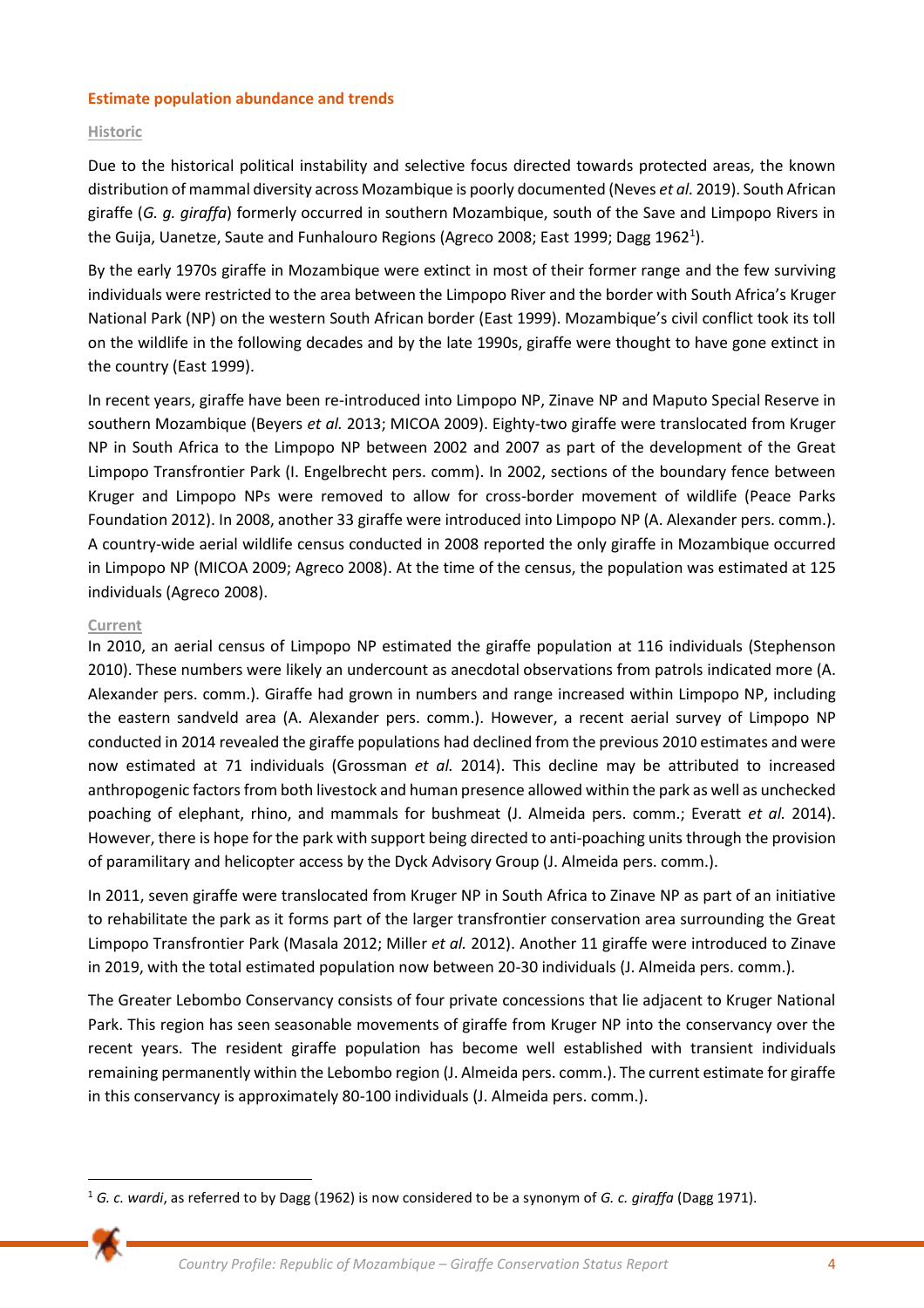## **Estimate population abundance and trends**

## **Historic**

Due to the historical political instability and selective focus directed towards protected areas, the known distribution of mammal diversity across Mozambique is poorly documented (Neves *et al.* 2019). South African giraffe (*G. g. giraffa*) formerly occurred in southern Mozambique, south of the Save and Limpopo Rivers in the Guija, Uanetze, Saute and Funhalouro Regions (Agreco 2008; East 1999; Dagg 1962<sup>1</sup>).

By the early 1970s giraffe in Mozambique were extinct in most of their former range and the few surviving individuals were restricted to the area between the Limpopo River and the border with South Africa's Kruger National Park (NP) on the western South African border (East 1999). Mozambique's civil conflict took its toll on the wildlife in the following decades and by the late 1990s, giraffe were thought to have gone extinct in the country (East 1999).

In recent years, giraffe have been re-introduced into Limpopo NP, Zinave NP and Maputo Special Reserve in southern Mozambique (Beyers *et al.* 2013; MICOA 2009). Eighty-two giraffe were translocated from Kruger NP in South Africa to the Limpopo NP between 2002 and 2007 as part of the development of the Great Limpopo Transfrontier Park (I. Engelbrecht pers. comm). In 2002, sections of the boundary fence between Kruger and Limpopo NPs were removed to allow for cross-border movement of wildlife (Peace Parks Foundation 2012). In 2008, another 33 giraffe were introduced into Limpopo NP (A. Alexander pers. comm.). A country-wide aerial wildlife census conducted in 2008 reported the only giraffe in Mozambique occurred in Limpopo NP (MICOA 2009; Agreco 2008). At the time of the census, the population was estimated at 125 individuals (Agreco 2008).

## **Current**

In 2010, an aerial census of Limpopo NP estimated the giraffe population at 116 individuals (Stephenson 2010). These numbers were likely an undercount as anecdotal observations from patrols indicated more (A. Alexander pers. comm.). Giraffe had grown in numbers and range increased within Limpopo NP, including the eastern sandveld area (A. Alexander pers. comm.). However, a recent aerial survey of Limpopo NP conducted in 2014 revealed the giraffe populations had declined from the previous 2010 estimates and were now estimated at 71 individuals (Grossman *et al.* 2014). This decline may be attributed to increased anthropogenic factors from both livestock and human presence allowed within the park as well as unchecked poaching of elephant, rhino, and mammals for bushmeat (J. Almeida pers. comm.; Everatt *et al.* 2014). However, there is hope for the park with support being directed to anti-poaching units through the provision of paramilitary and helicopter access by the Dyck Advisory Group (J. Almeida pers. comm.).

In 2011, seven giraffe were translocated from Kruger NP in South Africa to Zinave NP as part of an initiative to rehabilitate the park as it forms part of the larger transfrontier conservation area surrounding the Great Limpopo Transfrontier Park (Masala 2012; Miller *et al.* 2012). Another 11 giraffe were introduced to Zinave in 2019, with the total estimated population now between 20-30 individuals (J. Almeida pers. comm.).

The Greater Lebombo Conservancy consists of four private concessions that lie adjacent to Kruger National Park. This region has seen seasonable movements of giraffe from Kruger NP into the conservancy over the recent years. The resident giraffe population has become well established with transient individuals remaining permanently within the Lebombo region (J. Almeida pers. comm.). The current estimate for giraffe in this conservancy is approximately 80-100 individuals (J. Almeida pers. comm.).

<sup>1</sup> *G. c. wardi*, as referred to by Dagg (1962) is now considered to be a synonym of *G. c. giraffa* (Dagg 1971).

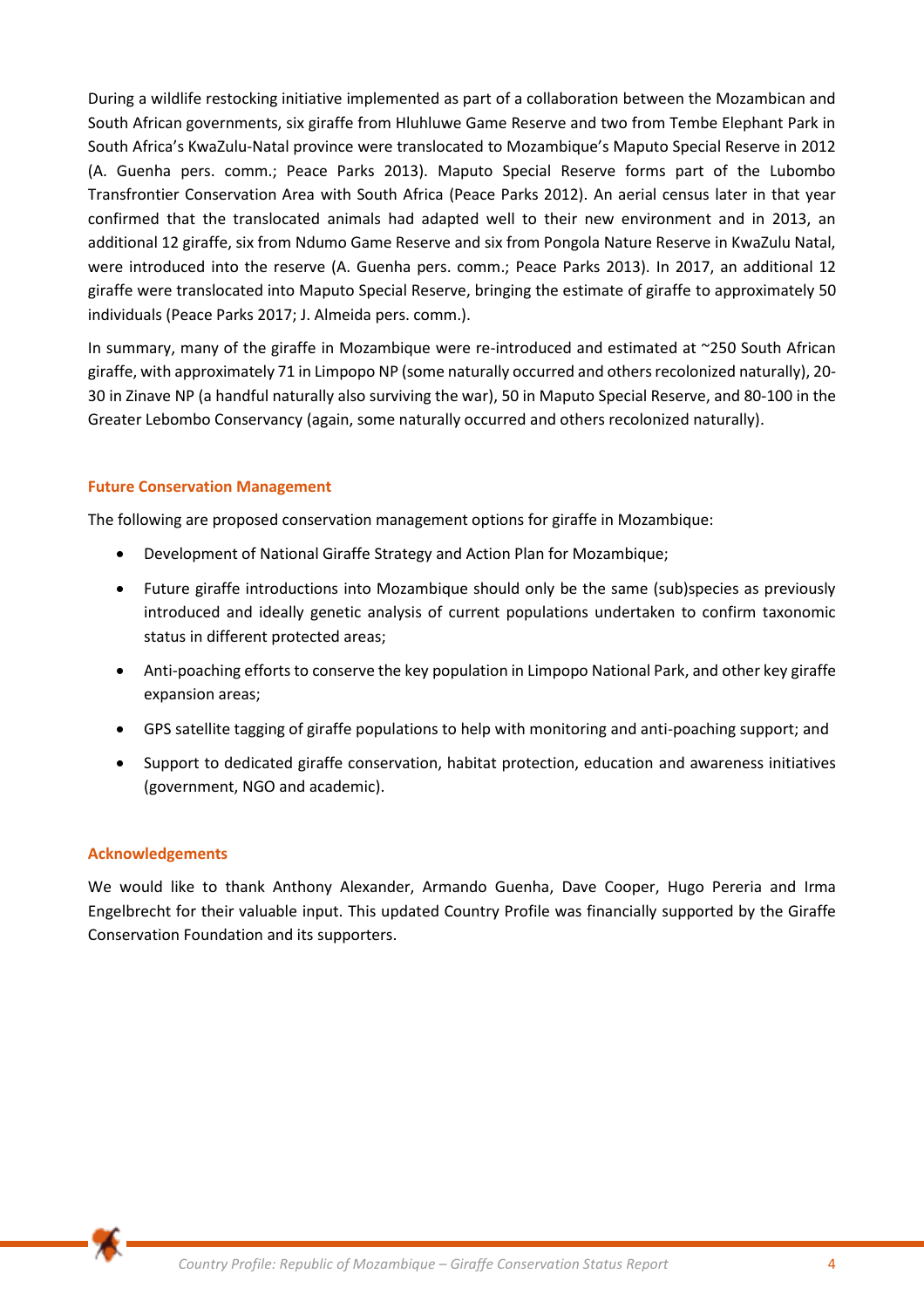During a wildlife restocking initiative implemented as part of a collaboration between the Mozambican and South African governments, six giraffe from Hluhluwe Game Reserve and two from Tembe Elephant Park in South Africa's KwaZulu-Natal province were translocated to Mozambique's Maputo Special Reserve in 2012 (A. Guenha pers. comm.; Peace Parks 2013). Maputo Special Reserve forms part of the Lubombo Transfrontier Conservation Area with South Africa (Peace Parks 2012). An aerial census later in that year confirmed that the translocated animals had adapted well to their new environment and in 2013, an additional 12 giraffe, six from Ndumo Game Reserve and six from Pongola Nature Reserve in KwaZulu Natal, were introduced into the reserve (A. Guenha pers. comm.; Peace Parks 2013). In 2017, an additional 12 giraffe were translocated into Maputo Special Reserve, bringing the estimate of giraffe to approximately 50 individuals (Peace Parks 2017; J. Almeida pers. comm.).

In summary, many of the giraffe in Mozambique were re-introduced and estimated at ~250 South African giraffe, with approximately 71 in Limpopo NP (some naturally occurred and others recolonized naturally), 20- 30 in Zinave NP (a handful naturally also surviving the war), 50 in Maputo Special Reserve, and 80-100 in the Greater Lebombo Conservancy (again, some naturally occurred and others recolonized naturally).

## **Future Conservation Management**

The following are proposed conservation management options for giraffe in Mozambique:

- Development of National Giraffe Strategy and Action Plan for Mozambique;
- Future giraffe introductions into Mozambique should only be the same (sub)species as previously introduced and ideally genetic analysis of current populations undertaken to confirm taxonomic status in different protected areas;
- Anti-poaching efforts to conserve the key population in Limpopo National Park, and other key giraffe expansion areas;
- GPS satellite tagging of giraffe populations to help with monitoring and anti-poaching support; and
- Support to dedicated giraffe conservation, habitat protection, education and awareness initiatives (government, NGO and academic).

## **Acknowledgements**

We would like to thank Anthony Alexander, Armando Guenha, Dave Cooper, Hugo Pereria and Irma Engelbrecht for their valuable input. This updated Country Profile was financially supported by the Giraffe Conservation Foundation and its supporters.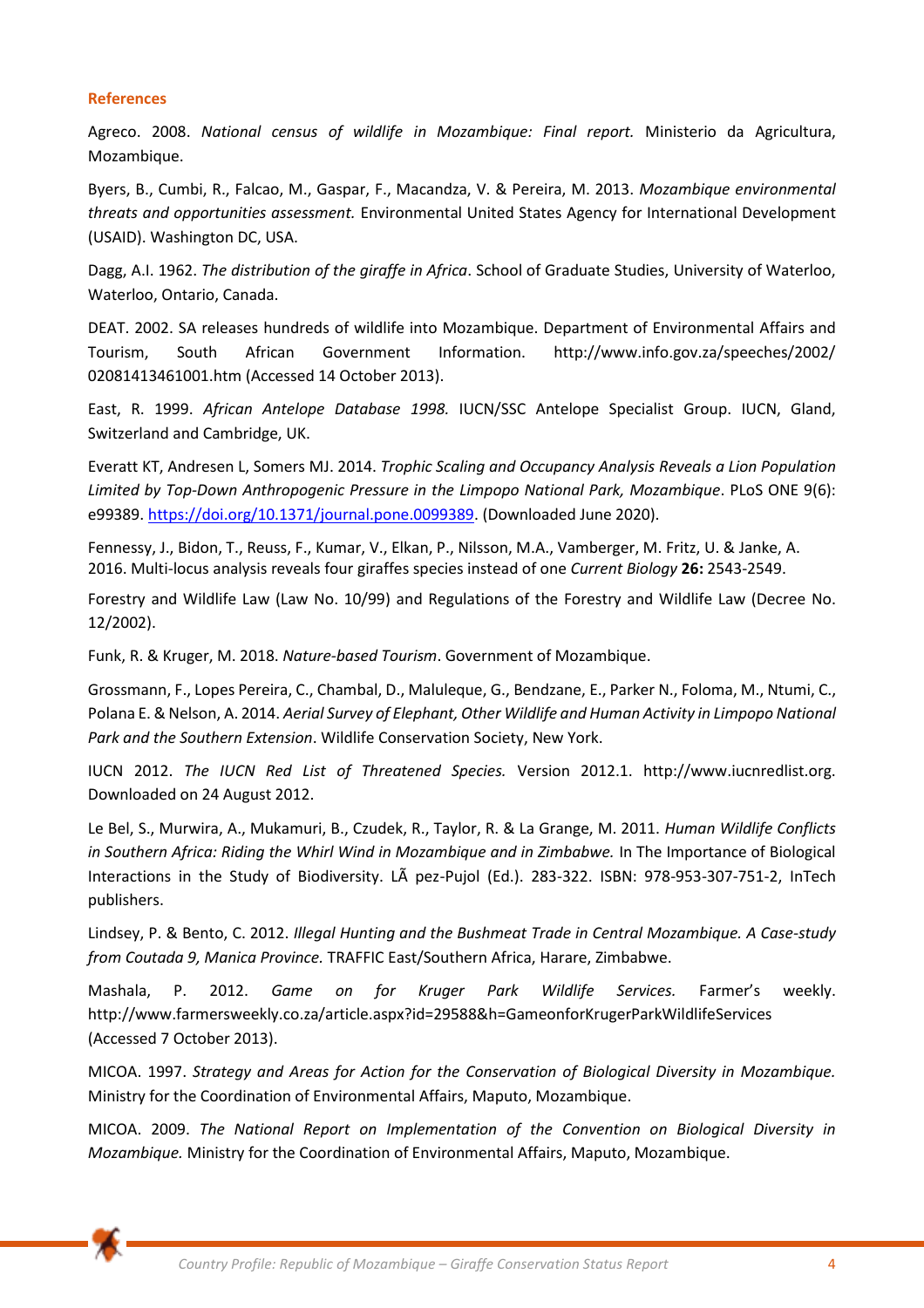#### **References**

Agreco. 2008. *National census of wildlife in Mozambique: Final report.* Ministerio da Agricultura, Mozambique.

Byers, B., Cumbi, R., Falcao, M., Gaspar, F., Macandza, V. & Pereira, M. 2013. *Mozambique environmental threats and opportunities assessment.* Environmental United States Agency for International Development (USAID). Washington DC, USA.

Dagg, A.I. 1962. *The distribution of the giraffe in Africa*. School of Graduate Studies, University of Waterloo, Waterloo, Ontario, Canada.

DEAT. 2002. SA releases hundreds of wildlife into Mozambique. Department of Environmental Affairs and Tourism, South African Government Information. http://www.info.gov.za/speeches/2002/ 02081413461001.htm (Accessed 14 October 2013).

East, R. 1999. *African Antelope Database 1998.* IUCN/SSC Antelope Specialist Group. IUCN, Gland, Switzerland and Cambridge, UK.

Everatt KT, Andresen L, Somers MJ. 2014. *Trophic Scaling and Occupancy Analysis Reveals a Lion Population Limited by Top-Down Anthropogenic Pressure in the Limpopo National Park, Mozambique*. PLoS ONE 9(6): e99389. [https://doi.org/10.1371/journal.pone.0099389.](about:blank) (Downloaded June 2020).

Fennessy, J., Bidon, T., Reuss, F., Kumar, V., Elkan, P., Nilsson, M.A., Vamberger, M. Fritz, U. & Janke, A. 2016. Multi-locus analysis reveals four giraffes species instead of one *Current Biology* **26:** 2543-2549.

Forestry and Wildlife Law (Law No. 10/99) and Regulations of the Forestry and Wildlife Law (Decree No. 12/2002).

Funk, R. & Kruger, M. 2018. *Nature-based Tourism*. Government of Mozambique.

Grossmann, F., Lopes Pereira, C., Chambal, D., Maluleque, G., Bendzane, E., Parker N., Foloma, M., Ntumi, C., Polana E. & Nelson, A. 2014. *Aerial Survey of Elephant, Other Wildlife and Human Activity in Limpopo National Park and the Southern Extension*. Wildlife Conservation Society, New York.

IUCN 2012. *The IUCN Red List of Threatened Species.* Version 2012.1. http://www.iucnredlist.org. Downloaded on 24 August 2012.

Le Bel, S., Murwira, A., Mukamuri, B., Czudek, R., Taylor, R. & La Grange, M. 2011. *Human Wildlife Conflicts*  in Southern Africa: Riding the Whirl Wind in Mozambique and in Zimbabwe. In The Importance of Biological Interactions in the Study of Biodiversity. LÃ pez-Pujol (Ed.). 283-322. ISBN: 978-953-307-751-2, InTech publishers.

Lindsey, P. & Bento, C. 2012. *Illegal Hunting and the Bushmeat Trade in Central Mozambique. A Case-study from Coutada 9, Manica Province.* TRAFFIC East/Southern Africa, Harare, Zimbabwe.

Mashala, P. 2012. *Game on for Kruger Park Wildlife Services.* Farmer's weekly. http://www.farmersweekly.co.za/article.aspx?id=29588&h=GameonforKrugerParkWildlifeServices (Accessed 7 October 2013).

MICOA. 1997. *Strategy and Areas for Action for the Conservation of Biological Diversity in Mozambique.* Ministry for the Coordination of Environmental Affairs, Maputo, Mozambique.

MICOA. 2009. *The National Report on Implementation of the Convention on Biological Diversity in Mozambique.* Ministry for the Coordination of Environmental Affairs, Maputo, Mozambique.

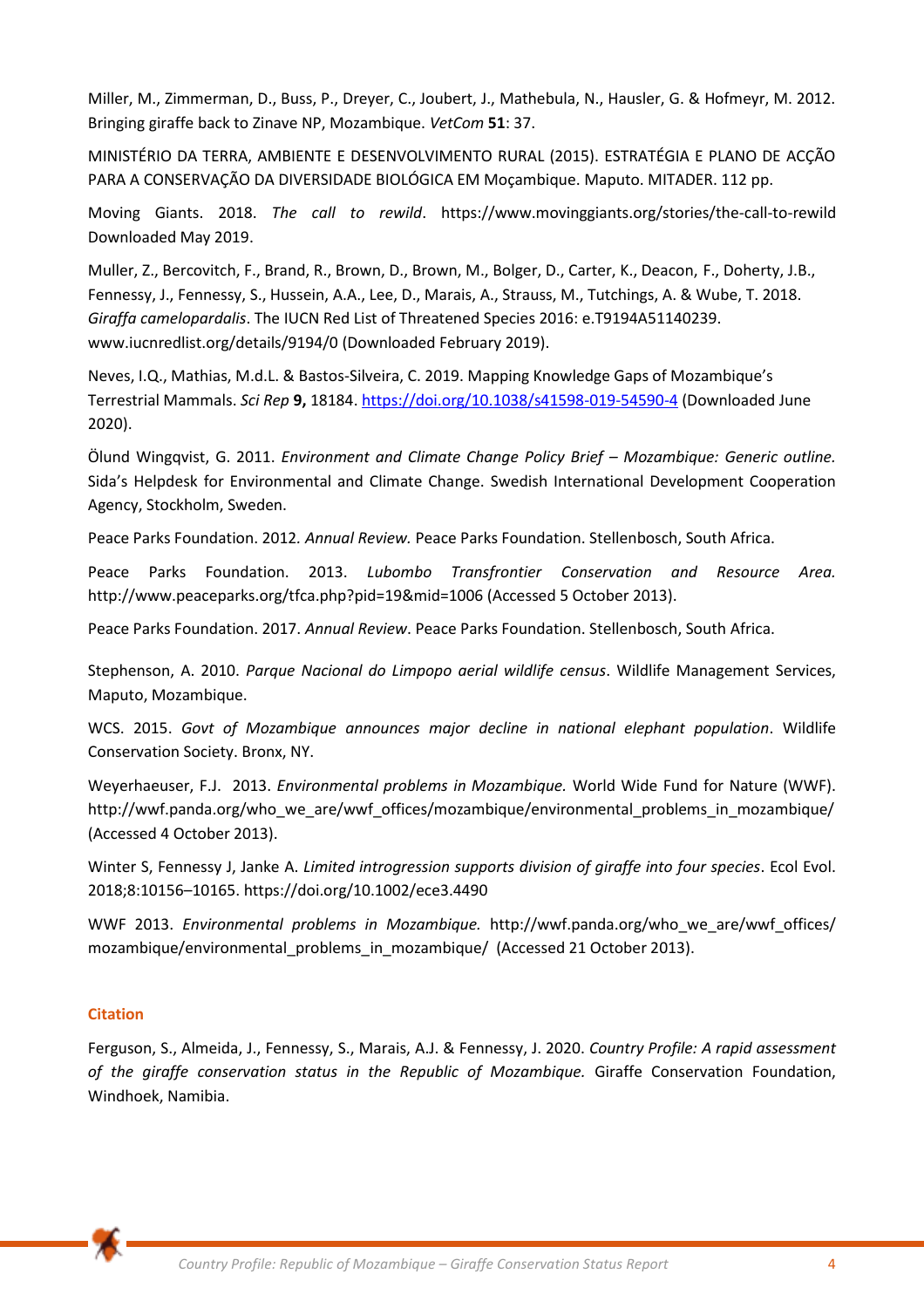Miller, M., Zimmerman, D., Buss, P., Dreyer, C., Joubert, J., Mathebula, N., Hausler, G. & Hofmeyr, M. 2012. Bringing giraffe back to Zinave NP, Mozambique. *VetCom* **51**: 37.

MINISTÉRIO DA TERRA, AMBIENTE E DESENVOLVIMENTO RURAL (2015). ESTRATÉGIA E PLANO DE ACÇÃO PARA A CONSERVAÇÃO DA DIVERSIDADE BIOLÓGICA EM Moçambique. Maputo. MITADER. 112 pp.

Moving Giants. 2018. *The call to rewild*. [https://www.movinggiants.org/stories/the-call-to-rewild](about:blank)  [Downloaded May 2019.](about:blank)

Muller, Z., Bercovitch, F., Brand, R., Brown, D., Brown, M., Bolger, D., Carter, K., Deacon, F., Doherty, J.B., Fennessy, J., Fennessy, S., Hussein, A.A., Lee, D., Marais, A., Strauss, M., Tutchings, A. & Wube, T. 2018. *Giraffa camelopardalis*. The IUCN Red List of Threatened Species 2016: e.T9194A51140239. www.iucnredlist.org/details/9194/0 (Downloaded February 2019).

Neves, I.Q., Mathias, M.d.L. & Bastos-Silveira, C. 2019. Mapping Knowledge Gaps of Mozambique's Terrestrial Mammals. *Sci Rep* **9,** 18184. [https://doi.org/10.1038/s41598-019-54590-4](about:blank) (Downloaded June 2020).

Ölund Wingqvist, G. 2011. *Environment and Climate Change Policy Brief – Mozambique: Generic outline.* Sida's Helpdesk for Environmental and Climate Change. Swedish International Development Cooperation Agency, Stockholm, Sweden.

Peace Parks Foundation. 2012*. Annual Review.* Peace Parks Foundation. Stellenbosch, South Africa.

Peace Parks Foundation. 2013. *Lubombo Transfrontier Conservation and Resource Area.*  http://www.peaceparks.org/tfca.php?pid=19&mid=1006 (Accessed 5 October 2013).

Peace Parks Foundation. 2017. *Annual Review*. Peace Parks Foundation. Stellenbosch, South Africa.

Stephenson, A. 2010. *Parque Nacional do Limpopo aerial wildlife census*. Wildlife Management Services, Maputo, Mozambique.

WCS. 2015. *Govt of Mozambique announces major decline in national elephant population*. Wildlife Conservation Society. Bronx, NY.

Weyerhaeuser, F.J. 2013. *Environmental problems in Mozambique.* World Wide Fund for Nature (WWF). http://wwf.panda.org/who\_we\_are/wwf\_offices/mozambique/environmental\_problems\_in\_mozambique/ (Accessed 4 October 2013).

Winter S, Fennessy J, Janke A. *Limited introgression supports division of giraffe into four species*. Ecol Evol. 2018;8:10156–10165. https://doi.org/10.1002/ece3.4490

WWF 2013. *Environmental problems in Mozambique.* http://wwf.panda.org/who\_we\_are/wwf\_offices/ mozambique/environmental\_problems\_in\_mozambique/ (Accessed 21 October 2013).

# **Citation**

Ferguson, S., Almeida, J., Fennessy, S., Marais, A.J. & Fennessy, J. 2020. *Country Profile: A rapid assessment of the giraffe conservation status in the Republic of Mozambique.* Giraffe Conservation Foundation, Windhoek, Namibia.